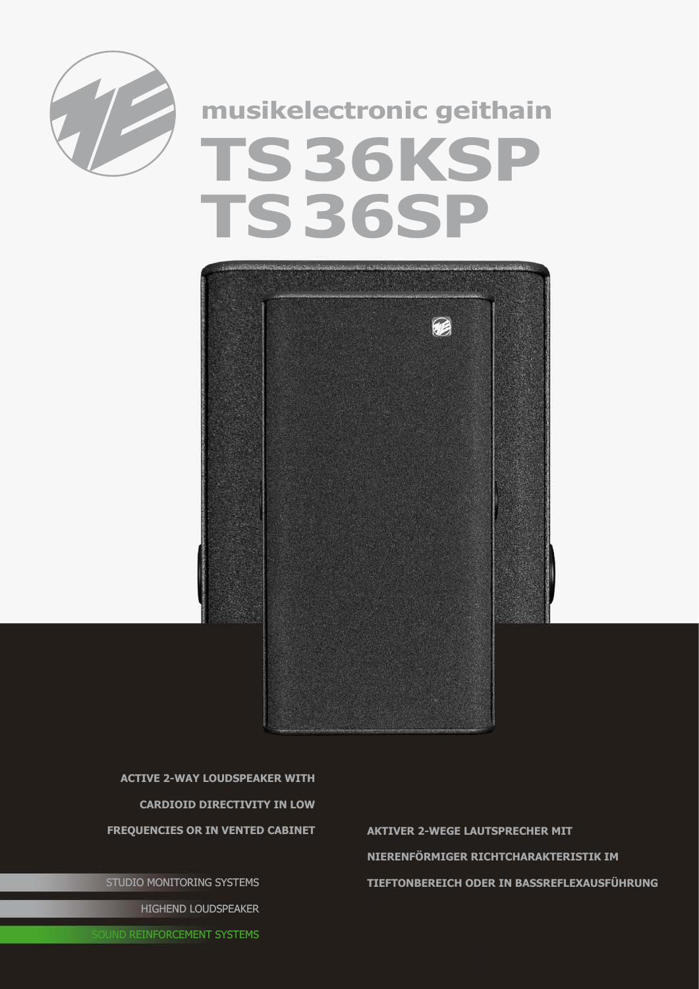

## **musikelectronic geithain TS36KSP TS36SP**



**active 2-way Loudspeaker with cardioid Directivity in low** 

STUDIO MONITORING SYSTEMS HIGHEND LOUDSPEAKER

**Frequencies or in vented cabinet Aktiver 2-wEGE lAUTSPRECHER mit Nierenförmiger Richtcharakteristik im Tieftonbereich oder in Bassreflexausführung**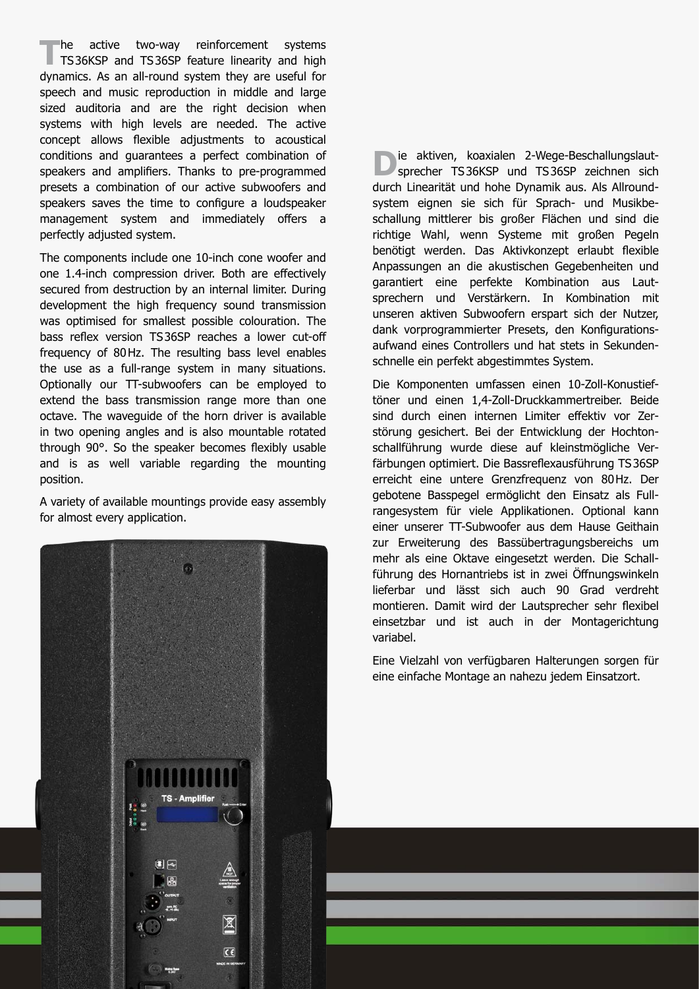The active two-way reinforcement systems<br>
TS36KSP and TS36SP feature linearity and high dynamics. As an all-round system they are useful for speech and music reproduction in middle and large sized auditoria and are the right decision when systems with high levels are needed. The active concept allows flexible adjustments to acoustical conditions and guarantees a perfect combination of speakers and amplifiers. Thanks to pre-programmed presets a combination of our active subwoofers and speakers saves the time to configure a loudspeaker management system and immediately offers a perfectly adjusted system.

The components include one 10-inch cone woofer and one 1.4-inch compression driver. Both are effectively secured from destruction by an internal limiter. During development the high frequency sound transmission was optimised for smallest possible colouration. The bass reflex version TS36SP reaches a lower cut-off frequency of 80Hz. The resulting bass level enables the use as a full-range system in many situations. Optionally our TT-subwoofers can be employed to extend the bass transmission range more than one octave. The waveguide of the horn driver is available in two opening angles and is also mountable rotated through 90°. So the speaker becomes flexibly usable and is as well variable regarding the mounting position.

A variety of available mountings provide easy assembly for almost every application.

**D**ie aktiven, koaxialen 2-Wege-Beschallungslaut-<br>sprecher TS36KSP und TS36SP zeichnen sich durch Linearität und hohe Dynamik aus. Als Allroundsystem eignen sie sich für Sprach- und Musikbeschallung mittlerer bis großer Flächen und sind die richtige Wahl, wenn Systeme mit großen Pegeln benötigt werden. Das Aktivkonzept erlaubt flexible Anpassungen an die akustischen Gegebenheiten und garantiert eine perfekte Kombination aus Lautsprechern und Verstärkern. In Kombination mit unseren aktiven Subwoofern erspart sich der Nutzer, dank vorprogrammierter Presets, den Konfigurationsaufwand eines Controllers und hat stets in Sekundenschnelle ein perfekt abgestimmtes System.

Die Komponenten umfassen einen 10-Zoll-Konustieftöner und einen 1,4-Zoll-Druckkammertreiber. Beide sind durch einen internen Limiter effektiv vor Zerstörung gesichert. Bei der Entwicklung der Hochtonschallführung wurde diese auf kleinstmögliche Verfärbungen optimiert. Die Bassreflexausführung TS36SP erreicht eine untere Grenzfrequenz von 80Hz. Der gebotene Basspegel ermöglicht den Einsatz als Fullrangesystem für viele Applikationen. Optional kann einer unserer TT-Subwoofer aus dem Hause Geithain zur Erweiterung des Bassübertragungsbereichs um mehr als eine Oktave eingesetzt werden. Die Schallführung des Hornantriebs ist in zwei Öffnungswinkeln lieferbar und lässt sich auch 90 Grad verdreht montieren. Damit wird der Lautsprecher sehr flexibel einsetzbar und ist auch in der Montagerichtung variabel.

Eine Vielzahl von verfügbaren Halterungen sorgen für eine einfache Montage an nahezu jedem Einsatzort.

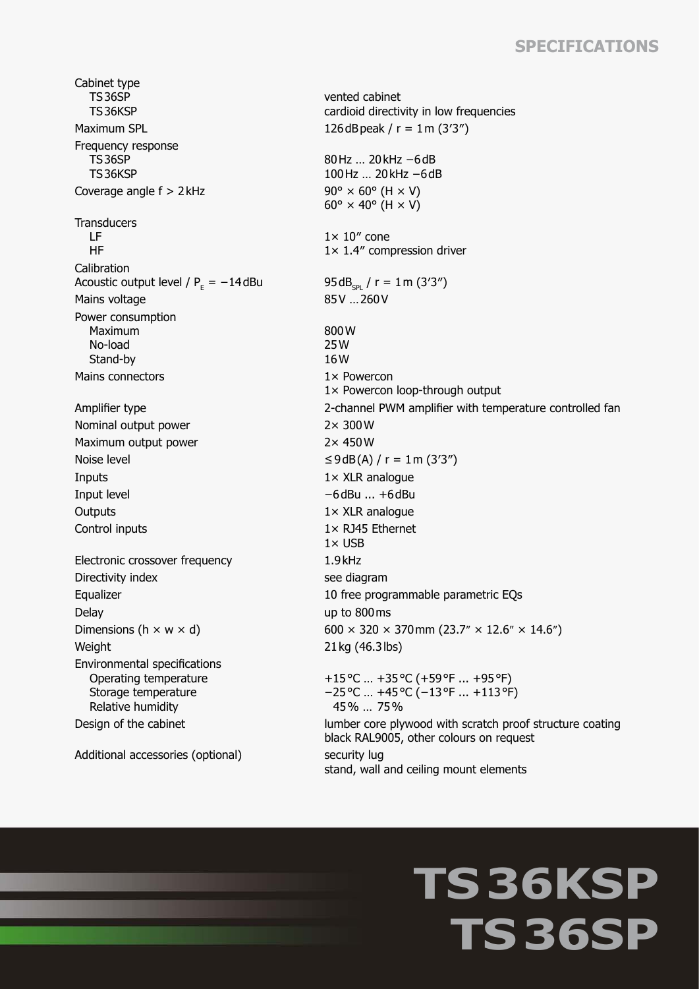## **Specifications**

Cabinet type TS36SP TS36KSP Maximum SPL  $126 dB$  peak  $/r = 1$  m  $(3'3'')$ Frequency response TS36SP TS36KSP Coverage angle  $f > 2$  kHz 90°  $\times$  60° (H  $\times$  V) **Transducers**  LF HF Calibration Acoustic output level /  $P_E = -14$ dBu 95dB<sub>spl</sub> / r = 1m (3'3") Mains voltage 85V ... 260V Power consumption Maximum No-load Stand-by Mains connectors and the state of the 1x Powercon Nominal output power 2× 300W Maximum output power 2× 450W Noise level  $≤9dB(A) / r = 1m (3'3'')$ Inputs 1× XLR analogue Input level −6dBu ... +6dBu Outputs 1× XLR analogue Control inputs 1× RJ45 Ethernet Electronic crossover frequency 1.9kHz Directivity index see diagram Delay up to 800ms Weight 21 kg (46.3 lbs) Environmental specifications Operating temperature Storage temperature Relative humidity

Additional accessories (optional) security lug

vented cabinet cardioid directivity in low frequencies 80Hz … 20kHz −6dB 100Hz … 20kHz −6dB  $60^\circ \times 40^\circ$  (H  $\times$  V)  $1 \times 10''$  cone 1× 1.4″ compression driver 800W 25W 16W 1× Powercon loop-through output Amplifier type 2-channel PWM amplifier with temperature controlled fan  $1 \times$  USB Equalizer 10 free programmable parametric EQs Dimensions (h  $\times$  w  $\times$  d) 600  $\times$  320  $\times$  370 mm (23.7"  $\times$  12.6"  $\times$  14.6") +15°C … +35°C (+59°F ... +95°F) −25°C … +45°C (−13°F ... +113°F) 45% … 75% Design of the cabinet and the core plywood with scratch proof structure coating black RAL9005, other colours on request stand, wall and ceiling mount elements

## **TS36KSP TS36SP**